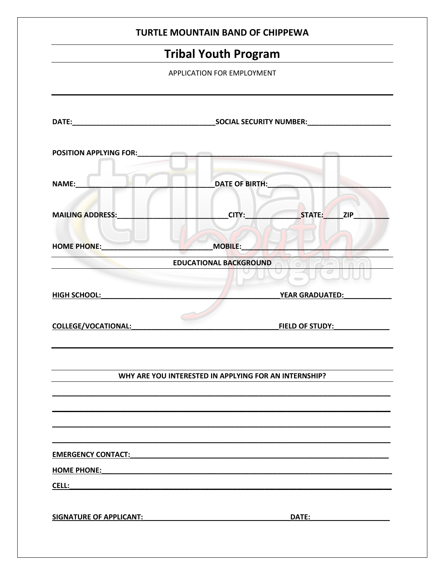|                                                      | <b>TURTLE MOUNTAIN BAND OF CHIPPEWA</b>               |
|------------------------------------------------------|-------------------------------------------------------|
|                                                      | <b>Tribal Youth Program</b>                           |
|                                                      | APPLICATION FOR EMPLOYMENT                            |
|                                                      |                                                       |
| POSITION APPLYING FOR: <b>All and September 2014</b> |                                                       |
| NAME:                                                | DATE OF BIRTH:                                        |
| <b>MAILING ADDRESS:</b>                              | STATE: ZIP<br>CITY:                                   |
| <b>HOME PHONE:</b>                                   | <b>MOBILE:</b>                                        |
|                                                      | <b>EDUCATIONAL BACKGROUND</b>                         |
| <b>HIGH SCHOOL:</b>                                  | _YEAR GRADUATED:__                                    |
| <b>COLLEGE/VOCATIONAL:</b>                           | <b>FIELD OF STUDY:</b>                                |
|                                                      | WHY ARE YOU INTERESTED IN APPLYING FOR AN INTERNSHIP? |
|                                                      |                                                       |
| <b>EMERGENCY CONTACT:</b>                            |                                                       |
|                                                      |                                                       |
| <b>HOME PHONE:</b><br>CELL:                          |                                                       |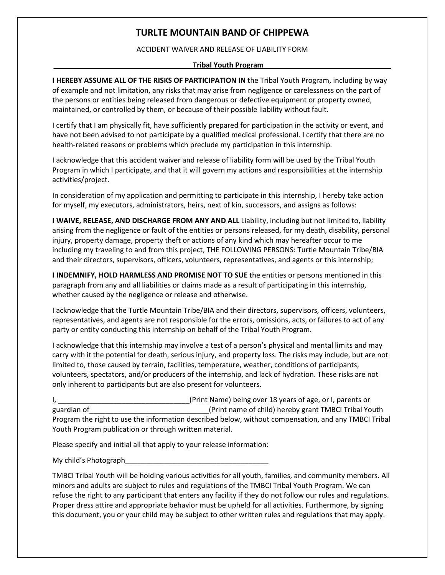# **TURLTE MOUNTAIN BAND OF CHIPPEWA**

# ACCIDENT WAIVER AND RELEASE OF LIABILITY FORM

# **Tribal Youth Program**

**I HEREBY ASSUME ALL OF THE RISKS OF PARTICIPATION IN** the Tribal Youth Program, including by way of example and not limitation, any risks that may arise from negligence or carelessness on the part of the persons or entities being released from dangerous or defective equipment or property owned, maintained, or controlled by them, or because of their possible liability without fault.

I certify that I am physically fit, have sufficiently prepared for participation in the activity or event, and have not been advised to not participate by a qualified medical professional. I certify that there are no health-related reasons or problems which preclude my participation in this internship.

I acknowledge that this accident waiver and release of liability form will be used by the Tribal Youth Program in which I participate, and that it will govern my actions and responsibilities at the internship activities/project.

In consideration of my application and permitting to participate in this internship, I hereby take action for myself, my executors, administrators, heirs, next of kin, successors, and assigns as follows:

**I WAIVE, RELEASE, AND DISCHARGE FROM ANY AND ALL** Liability, including but not limited to, liability arising from the negligence or fault of the entities or persons released, for my death, disability, personal injury, property damage, property theft or actions of any kind which may hereafter occur to me including my traveling to and from this project, THE FOLLOWING PERSONS: Turtle Mountain Tribe/BIA and their directors, supervisors, officers, volunteers, representatives, and agents or this internship;

**I INDEMNIFY, HOLD HARMLESS AND PROMISE NOT TO SUE** the entities or persons mentioned in this paragraph from any and all liabilities or claims made as a result of participating in this internship, whether caused by the negligence or release and otherwise.

I acknowledge that the Turtle Mountain Tribe/BIA and their directors, supervisors, officers, volunteers, representatives, and agents are not responsible for the errors, omissions, acts, or failures to act of any party or entity conducting this internship on behalf of the Tribal Youth Program.

I acknowledge that this internship may involve a test of a person's physical and mental limits and may carry with it the potential for death, serious injury, and property loss. The risks may include, but are not limited to, those caused by terrain, facilities, temperature, weather, conditions of participants, volunteers, spectators, and/or producers of the internship, and lack of hydration. These risks are not only inherent to participants but are also present for volunteers.

I, \_\_\_\_\_\_\_\_\_\_\_\_\_\_\_\_\_\_\_\_\_\_\_\_\_\_\_\_\_\_\_\_\_(Print Name) being over 18 years of age, or I, parents or guardian of\_\_\_\_\_\_\_\_\_\_\_\_\_\_\_\_\_\_\_\_\_\_\_\_\_\_\_\_\_\_\_(Print name of child) hereby grant TMBCI Tribal Youth Program the right to use the information described below, without compensation, and any TMBCI Tribal Youth Program publication or through written material.

Please specify and initial all that apply to your release information:

My child's Photograph

TMBCI Tribal Youth will be holding various activities for all youth, families, and community members. All minors and adults are subject to rules and regulations of the TMBCI Tribal Youth Program. We can refuse the right to any participant that enters any facility if they do not follow our rules and regulations. Proper dress attire and appropriate behavior must be upheld for all activities. Furthermore, by signing this document, you or your child may be subject to other written rules and regulations that may apply.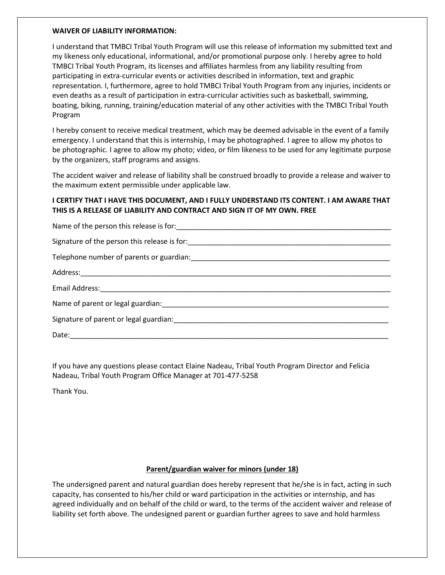#### **WAIVER OF LIABILITY INFORMATION:**

I understand that TMBCI Tribal Youth Program will use this release of information my submitted text and my likeness only educational, informational, and/or promotional purpose only. I hereby agree to hold TMBCI Tribal Youth Program, its licenses and affiliates harmless from any liability resulting from participating in extra-curricular events or activities described in information, text and graphic representation. I, furthermore, agree to hold TMBCI Tribal Youth Program from any injuries, incidents or even deaths as a result of participation in extra-curricular activities such as basketball, swimming, boating, biking, running, training/education material of any other activities with the TMBCI Tribal Youth Program

I hereby consent to receive medical treatment, which may be deemed advisable in the event of a family emergency. I understand that this is internship, I may be photographed. I agree to allow my photos to be photographic. I agree to allow my photo; video, or film likeness to be used for any legitimate purpose by the organizers, staff programs and assigns.

The accident waiver and release of liability shall be construed broadly to provide a release and waiver to the maximum extent permissible under applicable law.

# **I CERTIFY THAT I HAVE THIS DOCUMENT, AND I FULLY UNDERSTAND ITS CONTENT. I AM AWARE THAT THIS IS A RELEASE OF LIABILITY AND CONTRACT AND SIGN IT OF MY OWN. FREE**

| Signature of the person this release is for: ___________________________________ |
|----------------------------------------------------------------------------------|
|                                                                                  |
|                                                                                  |
|                                                                                  |
|                                                                                  |
|                                                                                  |
| Date:                                                                            |

If you have any questions please contact Elaine Nadeau, Tribal Youth Program Director and Felicia Nadeau, Tribal Youth Program Office Manager at 701-477-5258

Thank You.

### **Parent/guardian waiver for minors (under 18)**

The undersigned parent and natural guardian does hereby represent that he/she is in fact, acting in such capacity, has consented to his/her child or ward participation in the activities or internship, and has agreed individually and on behalf of the child or ward, to the terms of the accident waiver and release of liability set forth above. The undesigned parent or guardian further agrees to save and hold harmless